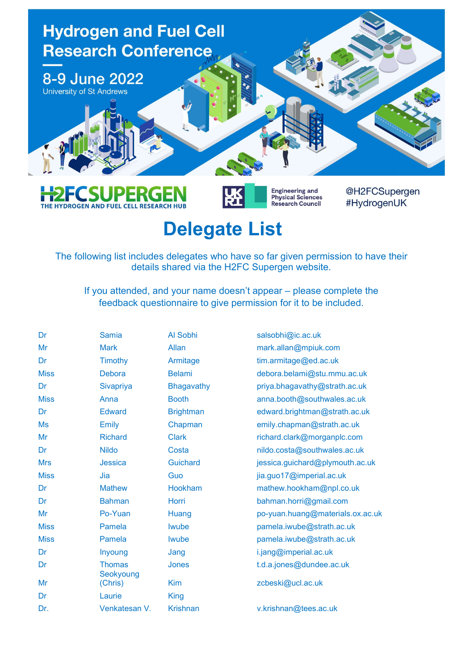

## Delegate List

THE HYDROGEN AND FUEL CELL RESEARCH HUB

The following list includes delegates who have so far given permission to have their details shared via the H2FC Supergen website.

If you attended, and your name doesn't appear – please complete the feedback questionnaire to give permission for it to be included.

| Dr          | <b>Samia</b>               | Al Sobhi          | salsobhi@ic.ac.uk                |
|-------------|----------------------------|-------------------|----------------------------------|
| Mr          | <b>Mark</b>                | Allan             | mark.allan@mpiuk.com             |
| Dr          | Timothy                    | Armitage          | tim.armitage@ed.ac.uk            |
| <b>Miss</b> | <b>Debora</b>              | <b>Belami</b>     | debora.belami@stu.mmu.ac.uk      |
| Dr          | Sivapriya                  | <b>Bhagavathy</b> | priya.bhagavathy@strath.ac.uk    |
| <b>Miss</b> | Anna                       | <b>Booth</b>      | anna.booth@southwales.ac.uk      |
| Dr          | <b>Edward</b>              | <b>Brightman</b>  | edward.brightman@strath.ac.uk    |
| <b>Ms</b>   | <b>Emily</b>               | Chapman           | emily.chapman@strath.ac.uk       |
| Mr          | <b>Richard</b>             | <b>Clark</b>      | richard.clark@morganplc.com      |
| Dr          | <b>Nildo</b>               | Costa             | nildo.costa@southwales.ac.uk     |
| <b>Mrs</b>  | <b>Jessica</b>             | <b>Guichard</b>   | jessica.guichard@plymouth.ac.uk  |
| <b>Miss</b> | Jia                        | Guo               | jia.guo17@imperial.ac.uk         |
| Dr          | <b>Mathew</b>              | <b>Hookham</b>    | mathew.hookham@npl.co.uk         |
| Dr          | <b>Bahman</b>              | Horri             | bahman.horri@gmail.com           |
| Mr          | Po-Yuan                    | Huang             | po-yuan.huang@materials.ox.ac.uk |
| <b>Miss</b> | Pamela                     | <b>Iwube</b>      | pamela.iwube@strath.ac.uk        |
| <b>Miss</b> | Pamela                     | <b>Iwube</b>      | pamela.iwube@strath.ac.uk        |
| Dr          | Inyoung                    | Jang              | i.jang@imperial.ac.uk            |
| Dr          | <b>Thomas</b><br>Seokyoung | Jones             | t.d.a.jones@dundee.ac.uk         |
| Mr          | (Chris)                    | <b>Kim</b>        | zcbeski@ucl.ac.uk                |
| Dr          | Laurie                     | King              |                                  |
| Dr.         | Venkatesan V.              | <b>Krishnan</b>   | v.krishnan@tees.ac.uk            |